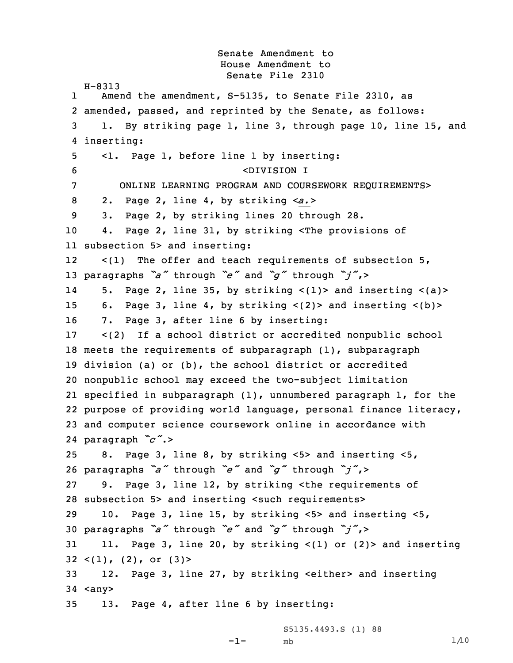Senate Amendment to House Amendment to Senate File 2310 H-8313 1 Amend the amendment, S-5135, to Senate File 2310, as amended, passed, and reprinted by the Senate, as follows: 1. By striking page 1, line 3, through page 10, line 15, and inserting: <1. Page 1, before line 1 by inserting: <DIVISION I ONLINE LEARNING PROGRAM AND COURSEWORK REQUIREMENTS> 2. Page 2, line 4, by striking <sup>&</sup>lt;*a.*<sup>&</sup>gt; 3. Page 2, by striking lines 20 through 28. 4. Page 2, line 31, by striking <The provisions of subsection 5> and inserting: 12 $\lt(1)$  The offer and teach requirements of subsection 5, paragraphs *"a"* through *"e"* and *"g"* through *"j"*,<sup>&</sup>gt; 14 5. Page 2, line 35, by striking <(1)> and inserting <(a)> 6. Page 3, line 4, by striking <(2)> and inserting <(b)> 7. Page 3, after line 6 by inserting: <(2) If <sup>a</sup> school district or accredited nonpublic school meets the requirements of subparagraph (1), subparagraph division (a) or (b), the school district or accredited nonpublic school may exceed the two-subject limitation specified in subparagraph (1), unnumbered paragraph 1, for the purpose of providing world language, personal finance literacy, and computer science coursework online in accordance with paragraph *"c"*.<sup>&</sup>gt; 8. Page 3, line 8, by striking <5> and inserting <5, paragraphs *"a"* through *"e"* and *"g"* through *"j"*,<sup>&</sup>gt; 9. Page 3, line 12, by striking <the requirements of subsection 5> and inserting <such requirements> 10. Page 3, line 15, by striking <5> and inserting <5, paragraphs *"a"* through *"e"* and *"g"* through *"j"*,<sup>&</sup>gt; 11. Page 3, line 20, by striking <(1) or (2)> and inserting  $32 < (1)$ ,  $(2)$ , or  $(3)$  12. Page 3, line 27, by striking <either> and inserting 34 <any> 13. Page 4, after line 6 by inserting:

-1-

mb  $1/10$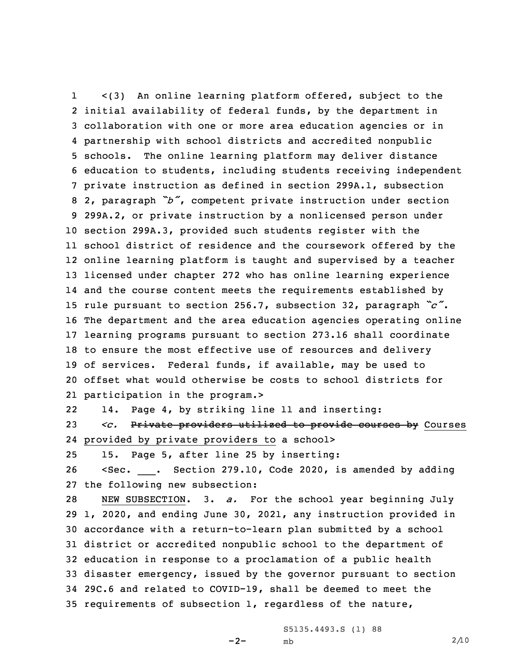1 <(3) An online learning platform offered, subject to the initial availability of federal funds, by the department in collaboration with one or more area education agencies or in partnership with school districts and accredited nonpublic schools. The online learning platform may deliver distance education to students, including students receiving independent private instruction as defined in section 299A.1, subsection 2, paragraph *"b"*, competent private instruction under section 299A.2, or private instruction by <sup>a</sup> nonlicensed person under section 299A.3, provided such students register with the school district of residence and the coursework offered by the online learning platform is taught and supervised by <sup>a</sup> teacher licensed under chapter 272 who has online learning experience and the course content meets the requirements established by rule pursuant to section 256.7, subsection 32, paragraph *"c"*. The department and the area education agencies operating online learning programs pursuant to section 273.16 shall coordinate to ensure the most effective use of resources and delivery of services. Federal funds, if available, may be used to offset what would otherwise be costs to school districts for participation in the program.>

2214. Page 4, by striking line 11 and inserting:

23 *<c.* Private providers utilized to provide courses by Courses 24 provided by private providers to <sup>a</sup> school>

25 15. Page 5, after line 25 by inserting:

26 <Sec. \_\_\_. Section 279.10, Code 2020, is amended by adding 27 the following new subsection:

 NEW SUBSECTION. 3. *a.* For the school year beginning July 1, 2020, and ending June 30, 2021, any instruction provided in accordance with <sup>a</sup> return-to-learn plan submitted by <sup>a</sup> school district or accredited nonpublic school to the department of education in response to <sup>a</sup> proclamation of <sup>a</sup> public health disaster emergency, issued by the governor pursuant to section 29C.6 and related to COVID-19, shall be deemed to meet the requirements of subsection 1, regardless of the nature,

 $-2-$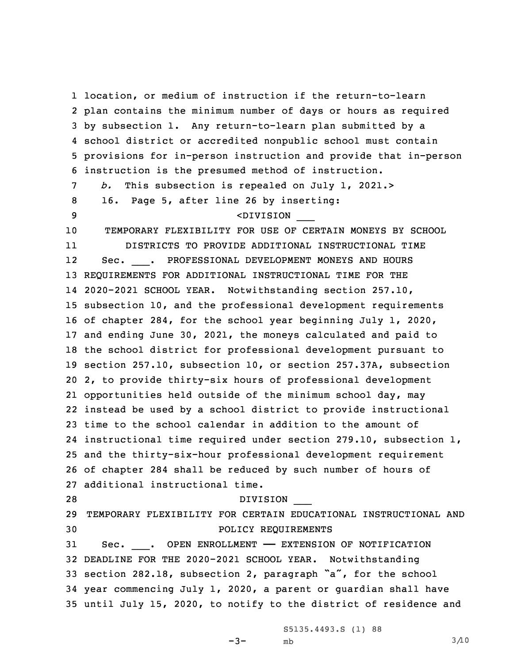location, or medium of instruction if the return-to-learn plan contains the minimum number of days or hours as required by subsection 1. Any return-to-learn plan submitted by <sup>a</sup> school district or accredited nonpublic school must contain provisions for in-person instruction and provide that in-person instruction is the presumed method of instruction. *b.* This subsection is repealed on July 1, 2021.> 16. Page 5, after line 26 by inserting: <DIVISION \_\_\_ TEMPORARY FLEXIBILITY FOR USE OF CERTAIN MONEYS BY SCHOOL 11 DISTRICTS TO PROVIDE ADDITIONAL INSTRUCTIONAL TIME 1212 Sec. \_\_\_. PROFESSIONAL DEVELOPMENT MONEYS AND HOURS REQUIREMENTS FOR ADDITIONAL INSTRUCTIONAL TIME FOR THE 2020-2021 SCHOOL YEAR. Notwithstanding section 257.10, subsection 10, and the professional development requirements of chapter 284, for the school year beginning July 1, 2020, and ending June 30, 2021, the moneys calculated and paid to the school district for professional development pursuant to section 257.10, subsection 10, or section 257.37A, subsection 2, to provide thirty-six hours of professional development opportunities held outside of the minimum school day, may instead be used by <sup>a</sup> school district to provide instructional time to the school calendar in addition to the amount of instructional time required under section 279.10, subsection 1, and the thirty-six-hour professional development requirement of chapter 284 shall be reduced by such number of hours of additional instructional time. 28 DIVISION \_\_\_ TEMPORARY FLEXIBILITY FOR CERTAIN EDUCATIONAL INSTRUCTIONAL AND POLICY REQUIREMENTS Sec. \_\_\_. OPEN ENROLLMENT —— EXTENSION OF NOTIFICATION DEADLINE FOR THE 2020-2021 SCHOOL YEAR. Notwithstanding section 282.18, subsection 2, paragraph "a", for the school year commencing July 1, 2020, <sup>a</sup> parent or guardian shall have until July 15, 2020, to notify to the district of residence and

> S5135.4493.S (1) 88 mb  $3/10$

 $-3-$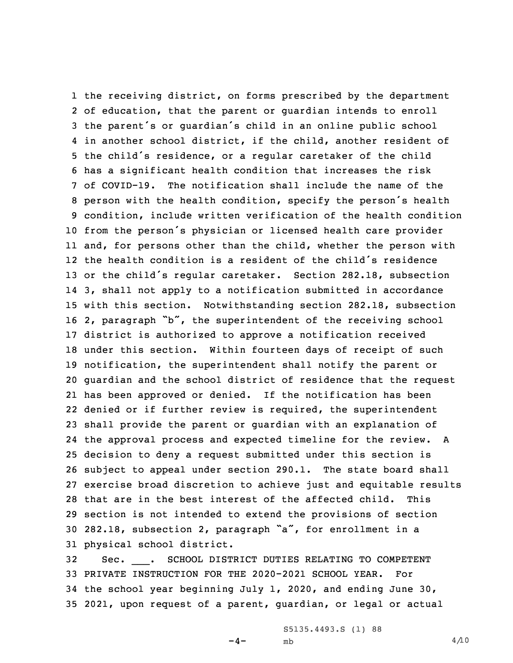the receiving district, on forms prescribed by the department of education, that the parent or guardian intends to enroll the parent's or guardian's child in an online public school in another school district, if the child, another resident of the child's residence, or <sup>a</sup> regular caretaker of the child has <sup>a</sup> significant health condition that increases the risk of COVID-19. The notification shall include the name of the person with the health condition, specify the person's health condition, include written verification of the health condition from the person's physician or licensed health care provider and, for persons other than the child, whether the person with the health condition is <sup>a</sup> resident of the child's residence or the child's regular caretaker. Section 282.18, subsection 3, shall not apply to <sup>a</sup> notification submitted in accordance with this section. Notwithstanding section 282.18, subsection 2, paragraph "b", the superintendent of the receiving school district is authorized to approve <sup>a</sup> notification received under this section. Within fourteen days of receipt of such notification, the superintendent shall notify the parent or guardian and the school district of residence that the request has been approved or denied. If the notification has been denied or if further review is required, the superintendent shall provide the parent or guardian with an explanation of the approval process and expected timeline for the review. <sup>A</sup> decision to deny <sup>a</sup> request submitted under this section is subject to appeal under section 290.1. The state board shall exercise broad discretion to achieve just and equitable results that are in the best interest of the affected child. This section is not intended to extend the provisions of section 282.18, subsection 2, paragraph "a", for enrollment in <sup>a</sup> physical school district.

32 Sec. SCHOOL DISTRICT DUTIES RELATING TO COMPETENT 33 PRIVATE INSTRUCTION FOR THE 2020-2021 SCHOOL YEAR. For 34 the school year beginning July 1, 2020, and ending June 30, 35 2021, upon request of <sup>a</sup> parent, guardian, or legal or actual

 $-4-$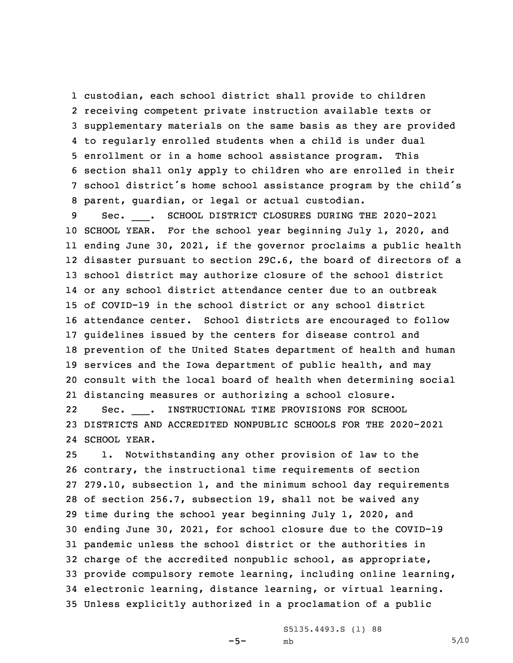custodian, each school district shall provide to children receiving competent private instruction available texts or supplementary materials on the same basis as they are provided to regularly enrolled students when <sup>a</sup> child is under dual enrollment or in <sup>a</sup> home school assistance program. This section shall only apply to children who are enrolled in their school district's home school assistance program by the child's parent, guardian, or legal or actual custodian.

 Sec. \_\_\_. SCHOOL DISTRICT CLOSURES DURING THE 2020-2021 SCHOOL YEAR. For the school year beginning July 1, 2020, and ending June 30, 2021, if the governor proclaims <sup>a</sup> public health disaster pursuant to section 29C.6, the board of directors of <sup>a</sup> school district may authorize closure of the school district or any school district attendance center due to an outbreak of COVID-19 in the school district or any school district attendance center. School districts are encouraged to follow guidelines issued by the centers for disease control and prevention of the United States department of health and human services and the Iowa department of public health, and may consult with the local board of health when determining social distancing measures or authorizing <sup>a</sup> school closure.

22Sec. . \_\_\_. INSTRUCTIONAL TIME PROVISIONS FOR SCHOOL 23 DISTRICTS AND ACCREDITED NONPUBLIC SCHOOLS FOR THE 2020-2021 24 SCHOOL YEAR.

 1. Notwithstanding any other provision of law to the contrary, the instructional time requirements of section 279.10, subsection 1, and the minimum school day requirements of section 256.7, subsection 19, shall not be waived any time during the school year beginning July 1, 2020, and ending June 30, 2021, for school closure due to the COVID-19 pandemic unless the school district or the authorities in charge of the accredited nonpublic school, as appropriate, provide compulsory remote learning, including online learning, electronic learning, distance learning, or virtual learning. Unless explicitly authorized in <sup>a</sup> proclamation of <sup>a</sup> public

 $-5-$ 

S5135.4493.S (1) 88 mb  $5/10$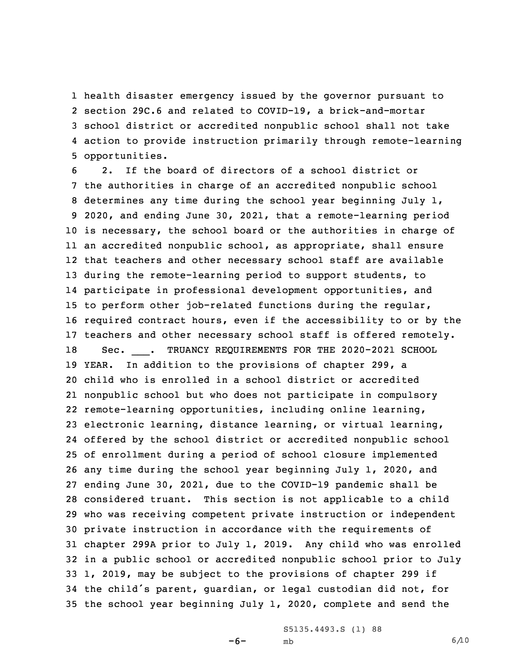health disaster emergency issued by the governor pursuant to section 29C.6 and related to COVID-19, <sup>a</sup> brick-and-mortar school district or accredited nonpublic school shall not take action to provide instruction primarily through remote-learning opportunities.

 2. If the board of directors of <sup>a</sup> school district or the authorities in charge of an accredited nonpublic school determines any time during the school year beginning July 1, 2020, and ending June 30, 2021, that <sup>a</sup> remote-learning period is necessary, the school board or the authorities in charge of an accredited nonpublic school, as appropriate, shall ensure that teachers and other necessary school staff are available during the remote-learning period to support students, to participate in professional development opportunities, and to perform other job-related functions during the regular, required contract hours, even if the accessibility to or by the teachers and other necessary school staff is offered remotely. Sec. \_\_\_. TRUANCY REQUIREMENTS FOR THE 2020-2021 SCHOOL YEAR. In addition to the provisions of chapter 299, <sup>a</sup> child who is enrolled in <sup>a</sup> school district or accredited nonpublic school but who does not participate in compulsory remote-learning opportunities, including online learning, electronic learning, distance learning, or virtual learning, offered by the school district or accredited nonpublic school of enrollment during <sup>a</sup> period of school closure implemented any time during the school year beginning July 1, 2020, and ending June 30, 2021, due to the COVID-19 pandemic shall be considered truant. This section is not applicable to <sup>a</sup> child who was receiving competent private instruction or independent private instruction in accordance with the requirements of chapter 299A prior to July 1, 2019. Any child who was enrolled in <sup>a</sup> public school or accredited nonpublic school prior to July 1, 2019, may be subject to the provisions of chapter 299 if the child's parent, guardian, or legal custodian did not, for the school year beginning July 1, 2020, complete and send the

> S5135.4493.S (1) 88 mb 6/10

 $-6-$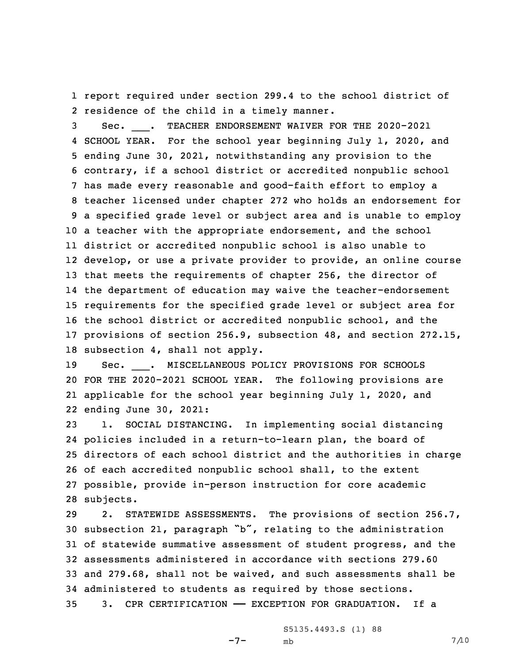1 report required under section 299.4 to the school district of 2 residence of the child in <sup>a</sup> timely manner.

 Sec. \_\_\_. TEACHER ENDORSEMENT WAIVER FOR THE 2020-2021 SCHOOL YEAR. For the school year beginning July 1, 2020, and ending June 30, 2021, notwithstanding any provision to the contrary, if <sup>a</sup> school district or accredited nonpublic school has made every reasonable and good-faith effort to employ <sup>a</sup> teacher licensed under chapter 272 who holds an endorsement for <sup>a</sup> specified grade level or subject area and is unable to employ <sup>a</sup> teacher with the appropriate endorsement, and the school district or accredited nonpublic school is also unable to develop, or use <sup>a</sup> private provider to provide, an online course that meets the requirements of chapter 256, the director of the department of education may waive the teacher-endorsement requirements for the specified grade level or subject area for the school district or accredited nonpublic school, and the provisions of section 256.9, subsection 48, and section 272.15, subsection 4, shall not apply.

 Sec. \_\_\_. MISCELLANEOUS POLICY PROVISIONS FOR SCHOOLS FOR THE 2020-2021 SCHOOL YEAR. The following provisions are applicable for the school year beginning July 1, 2020, and ending June 30, 2021:

 1. SOCIAL DISTANCING. In implementing social distancing policies included in <sup>a</sup> return-to-learn plan, the board of directors of each school district and the authorities in charge of each accredited nonpublic school shall, to the extent possible, provide in-person instruction for core academic subjects.

 2. STATEWIDE ASSESSMENTS. The provisions of section 256.7, subsection 21, paragraph "b", relating to the administration of statewide summative assessment of student progress, and the assessments administered in accordance with sections 279.60 and 279.68, shall not be waived, and such assessments shall be administered to students as required by those sections. 3. CPR CERTIFICATION —— EXCEPTION FOR GRADUATION. If a

 $-7-$ 

S5135.4493.S (1) 88 mb  $7/10$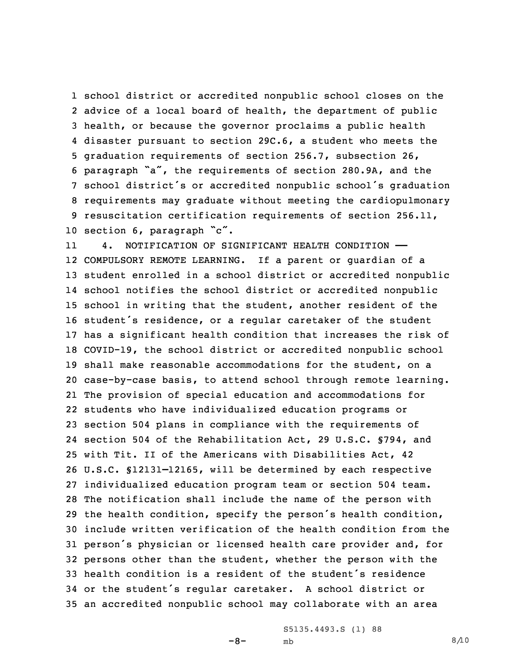school district or accredited nonpublic school closes on the advice of <sup>a</sup> local board of health, the department of public health, or because the governor proclaims <sup>a</sup> public health disaster pursuant to section 29C.6, <sup>a</sup> student who meets the graduation requirements of section 256.7, subsection 26, paragraph "a", the requirements of section 280.9A, and the school district's or accredited nonpublic school's graduation requirements may graduate without meeting the cardiopulmonary resuscitation certification requirements of section 256.11, section 6, paragraph "c".

11 4. NOTIFICATION OF SIGNIFICANT HEALTH CONDITION —— COMPULSORY REMOTE LEARNING. If <sup>a</sup> parent or guardian of <sup>a</sup> student enrolled in <sup>a</sup> school district or accredited nonpublic school notifies the school district or accredited nonpublic school in writing that the student, another resident of the student's residence, or <sup>a</sup> regular caretaker of the student has <sup>a</sup> significant health condition that increases the risk of COVID-19, the school district or accredited nonpublic school shall make reasonable accommodations for the student, on <sup>a</sup> case-by-case basis, to attend school through remote learning. The provision of special education and accommodations for students who have individualized education programs or section 504 plans in compliance with the requirements of section 504 of the Rehabilitation Act, 29 U.S.C. §794, and with Tit. II of the Americans with Disabilities Act, 42 U.S.C. §12131–12165, will be determined by each respective individualized education program team or section 504 team. The notification shall include the name of the person with the health condition, specify the person's health condition, include written verification of the health condition from the person's physician or licensed health care provider and, for persons other than the student, whether the person with the health condition is <sup>a</sup> resident of the student's residence or the student's regular caretaker. <sup>A</sup> school district or an accredited nonpublic school may collaborate with an area

-8-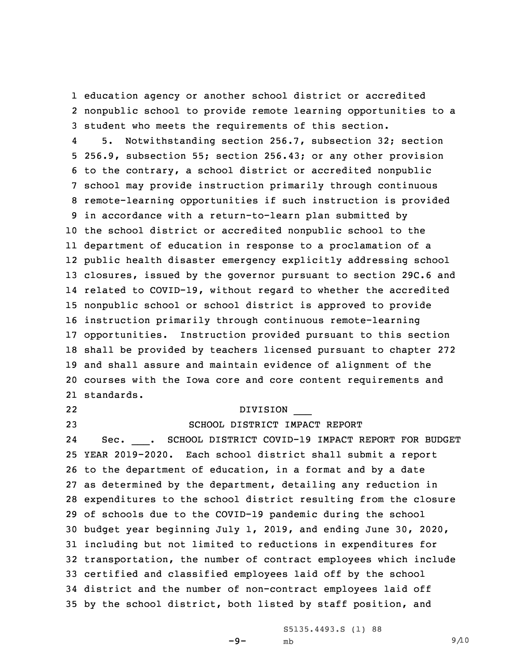1 education agency or another school district or accredited 2 nonpublic school to provide remote learning opportunities to <sup>a</sup> 3 student who meets the requirements of this section.

4 5. Notwithstanding section 256.7, subsection 32; section 256.9, subsection 55; section 256.43; or any other provision to the contrary, <sup>a</sup> school district or accredited nonpublic school may provide instruction primarily through continuous remote-learning opportunities if such instruction is provided in accordance with <sup>a</sup> return-to-learn plan submitted by the school district or accredited nonpublic school to the department of education in response to <sup>a</sup> proclamation of <sup>a</sup> public health disaster emergency explicitly addressing school closures, issued by the governor pursuant to section 29C.6 and related to COVID-19, without regard to whether the accredited nonpublic school or school district is approved to provide instruction primarily through continuous remote-learning opportunities. Instruction provided pursuant to this section shall be provided by teachers licensed pursuant to chapter 272 and shall assure and maintain evidence of alignment of the courses with the Iowa core and core content requirements and standards.

## 22

## DIVISION \_\_\_

 SCHOOL DISTRICT IMPACT REPORT 24 Sec. \_\_\_. SCHOOL DISTRICT COVID-19 IMPACT REPORT FOR BUDGET YEAR 2019-2020. Each school district shall submit <sup>a</sup> report to the department of education, in <sup>a</sup> format and by <sup>a</sup> date as determined by the department, detailing any reduction in expenditures to the school district resulting from the closure of schools due to the COVID-19 pandemic during the school budget year beginning July 1, 2019, and ending June 30, 2020, including but not limited to reductions in expenditures for transportation, the number of contract employees which include certified and classified employees laid off by the school district and the number of non-contract employees laid off by the school district, both listed by staff position, and

-9-